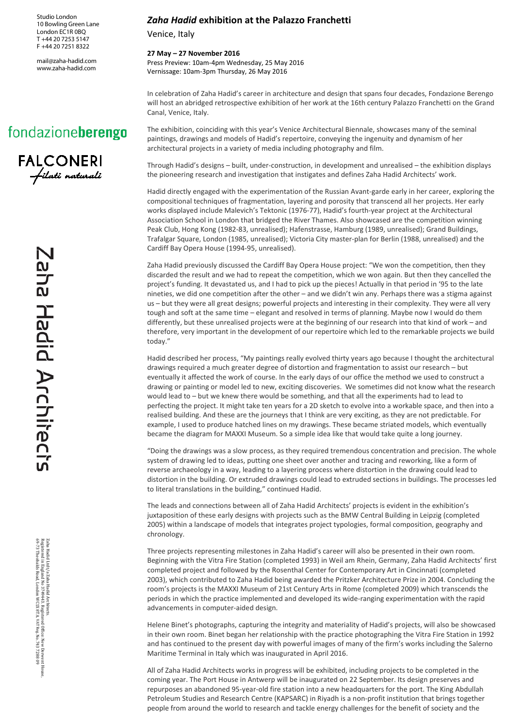Studio London 10 Bowling Green Lane London EC1R 0BQ T +44 20 7253 5147 F +44 20 7251 8322

[mail@zaha-hadid.com](mailto:mail@zaha-hadid.com) www.zaha-hadid.com



Through Hadid's designs – built, under-construction, in development and unrealised – the exhibition displays the pioneering research and investigation that instigates and defines Zaha Hadid Architects' work.

Venice, Italy

Canal, Venice, Italy.

**27 May – 27 November 2016**

Hadid directly engaged with the experimentation of the Russian Avant-garde early in her career, exploring the compositional techniques of fragmentation, layering and porosity that transcend all her projects. Her early works displayed include Malevich's Tektonic (1976-77), Hadid's fourth-year project at the Architectural Association School in London that bridged the River Thames. Also showcased are the competition winning Peak Club, Hong Kong (1982-83, unrealised); Hafenstrasse, Hamburg (1989, unrealised); Grand Buildings, Trafalgar Square, London (1985, unrealised); Victoria City master-plan for Berlin (1988, unrealised) and the Cardiff Bay Opera House (1994-95, unrealised).

In celebration of Zaha Hadid's career in architecture and design that spans four decades, Fondazione Berengo will host an abridged retrospective exhibition of her work at the 16th century Palazzo Franchetti on the Grand

The exhibition, coinciding with this year's Venice Architectural Biennale, showcases many of the seminal paintings, drawings and models of Hadid's repertoire, conveying the ingenuity and dynamism of her

*Zaha Hadid* **exhibition at the Palazzo Franchetti**

architectural projects in a variety of media including photography and film.

Press Preview: 10am-4pm Wednesday, 25 May 2016 Vernissage: 10am-3pm Thursday, 26 May 2016

Zaha Hadid previously discussed the Cardiff Bay Opera House project: "We won the competition, then they discarded the result and we had to repeat the competition, which we won again. But then they cancelled the project's funding. It devastated us, and I had to pick up the pieces! Actually in that period in '95 to the late nineties, we did one competition after the other – and we didn't win any. Perhaps there was a stigma against us – but they were all great designs; powerful projects and interesting in their complexity. They were all very tough and soft at the same time – elegant and resolved in terms of planning. Maybe now I would do them differently, but these unrealised projects were at the beginning of our research into that kind of work – and therefore, very important in the development of our repertoire which led to the remarkable projects we build today."

Hadid described her process, "My paintings really evolved thirty years ago because I thought the architectural drawings required a much greater degree of distortion and fragmentation to assist our research – but eventually it affected the work of course. In the early days of our office the method we used to construct a drawing or painting or model led to new, exciting discoveries. We sometimes did not know what the research would lead to – but we knew there would be something, and that all the experiments had to lead to perfecting the project. It might take ten years for a 2D sketch to evolve into a workable space, and then into a realised building. And these are the journeys that I think are very exciting, as they are not predictable. For example, I used to produce hatched lines on my drawings. These became striated models, which eventually became the diagram for MAXXI Museum. So a simple idea like that would take quite a long journey.

"Doing the drawings was a slow process, as they required tremendous concentration and precision. The whole system of drawing led to ideas, putting one sheet over another and tracing and reworking, like a form of reverse archaeology in a way, leading to a layering process where distortion in the drawing could lead to distortion in the building. Or extruded drawings could lead to extruded sections in buildings. The processes led to literal translations in the building," continued Hadid.

The leads and connections between all of Zaha Hadid Architects' projects is evident in the exhibition's juxtaposition of these early designs with projects such as the BMW Central Building in Leipzig (completed 2005) within a landscape of models that integrates project typologies, formal composition, geography and chronology.

Three projects representing milestones in Zaha Hadid's career will also be presented in their own room. Beginning with the Vitra Fire Station (completed 1993) in Weil am Rhein, Germany, Zaha Hadid Architects' first completed project and followed by the Rosenthal Center for Contemporary Art in Cincinnati (completed 2003), which contributed to Zaha Hadid being awarded the Pritzker Architecture Prize in 2004. Concluding the room's projects is the MAXXI Museum of 21st Century Arts in Rome (completed 2009) which transcends the periods in which the practice implemented and developed its wide-ranging experimentation with the rapid advancements in computer-aided design.

Helene Binet's photographs, capturing the integrity and materiality of Hadid's projects, will also be showcased in their own room. Binet began her relationship with the practice photographing the Vitra Fire Station in 1992 and has continued to the present day with powerful images of many of the firm's works including the Salerno Maritime Terminal in Italy which was inaugurated in April 2016.

All of Zaha Hadid Architects works in progress will be exhibited, including projects to be completed in the coming year. The Port House in Antwerp will be inaugurated on 22 September. Its design preserves and repurposes an abandoned 95-year-old fire station into a new headquarters for the port. The King Abdullah Petroleum Studies and Research Centre (KAPSARC) in Riyadh is a non-profit institution that brings together people from around the world to research and tackle energy challenges for the benefit of society and the